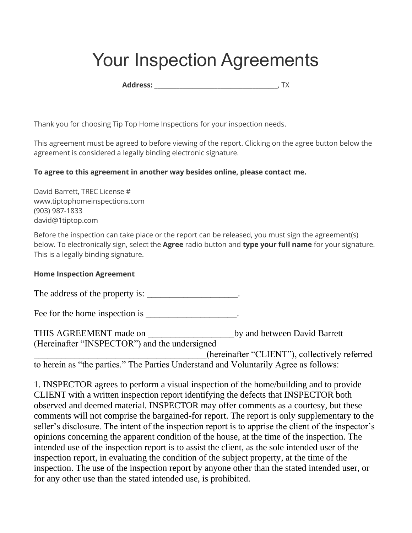## Your Inspection Agreements

**Address:** \_\_\_\_\_\_\_\_\_\_\_\_\_\_\_\_\_\_\_\_\_\_\_\_\_\_\_\_\_\_\_\_\_\_\_\_\_\_\_, TX

Thank you for choosing Tip Top Home Inspections for your inspection needs.

This agreement must be agreed to before viewing of the report. Clicking on the agree button below the agreement is considered a legally binding electronic signature.

## **To agree to this agreement in another way besides online, please contact me.**

David Barrett, TREC License # www.tiptophomeinspections.com (903) 987-1833 david@1tiptop.com

Before the inspection can take place or the report can be released, you must sign the agreement(s) below. To electronically sign, select the **Agree** radio button and **type your full name** for your signature. This is a legally binding signature.

## **Home Inspection Agreement**

The address of the property is: \_\_\_\_\_\_\_\_\_\_\_\_\_\_\_\_\_\_\_\_\_.

Fee for the home inspection is \_\_\_\_\_\_\_\_\_\_\_\_\_\_\_\_\_\_\_.

THIS AGREEMENT made on \_\_\_\_\_\_\_\_\_\_\_\_\_\_\_\_\_\_\_by and between David Barrett (Hereinafter "INSPECTOR") and the undersigned

\_\_\_\_\_\_\_\_\_\_\_\_\_\_\_\_\_\_\_\_\_\_\_\_\_\_\_\_\_\_\_\_\_\_\_\_\_\_(hereinafter "CLIENT"), collectively referred to herein as "the parties." The Parties Understand and Voluntarily Agree as follows:

1. INSPECTOR agrees to perform a visual inspection of the home/building and to provide CLIENT with a written inspection report identifying the defects that INSPECTOR both observed and deemed material. INSPECTOR may offer comments as a courtesy, but these comments will not comprise the bargained-for report. The report is only supplementary to the seller's disclosure. The intent of the inspection report is to apprise the client of the inspector's opinions concerning the apparent condition of the house, at the time of the inspection. The intended use of the inspection report is to assist the client, as the sole intended user of the inspection report, in evaluating the condition of the subject property, at the time of the inspection. The use of the inspection report by anyone other than the stated intended user, or for any other use than the stated intended use, is prohibited.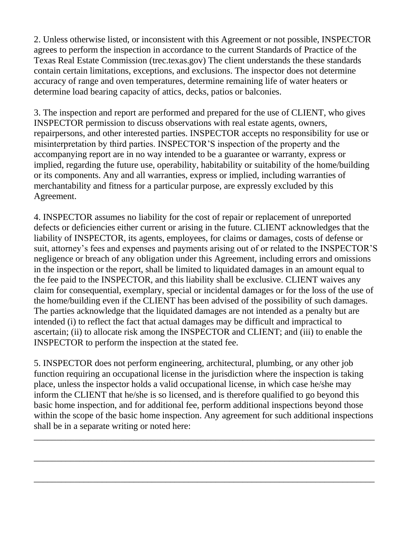2. Unless otherwise listed, or inconsistent with this Agreement or not possible, INSPECTOR agrees to perform the inspection in accordance to the current Standards of Practice of the Texas Real Estate Commission (trec.texas.gov) The client understands the these standards contain certain limitations, exceptions, and exclusions. The inspector does not determine accuracy of range and oven temperatures, determine remaining life of water heaters or determine load bearing capacity of attics, decks, patios or balconies.

3. The inspection and report are performed and prepared for the use of CLIENT, who gives INSPECTOR permission to discuss observations with real estate agents, owners, repairpersons, and other interested parties. INSPECTOR accepts no responsibility for use or misinterpretation by third parties. INSPECTOR'S inspection of the property and the accompanying report are in no way intended to be a guarantee or warranty, express or implied, regarding the future use, operability, habitability or suitability of the home/building or its components. Any and all warranties, express or implied, including warranties of merchantability and fitness for a particular purpose, are expressly excluded by this Agreement.

4. INSPECTOR assumes no liability for the cost of repair or replacement of unreported defects or deficiencies either current or arising in the future. CLIENT acknowledges that the liability of INSPECTOR, its agents, employees, for claims or damages, costs of defense or suit, attorney's fees and expenses and payments arising out of or related to the INSPECTOR'S negligence or breach of any obligation under this Agreement, including errors and omissions in the inspection or the report, shall be limited to liquidated damages in an amount equal to the fee paid to the INSPECTOR, and this liability shall be exclusive. CLIENT waives any claim for consequential, exemplary, special or incidental damages or for the loss of the use of the home/building even if the CLIENT has been advised of the possibility of such damages. The parties acknowledge that the liquidated damages are not intended as a penalty but are intended (i) to reflect the fact that actual damages may be difficult and impractical to ascertain; (ii) to allocate risk among the INSPECTOR and CLIENT; and (iii) to enable the INSPECTOR to perform the inspection at the stated fee.

5. INSPECTOR does not perform engineering, architectural, plumbing, or any other job function requiring an occupational license in the jurisdiction where the inspection is taking place, unless the inspector holds a valid occupational license, in which case he/she may inform the CLIENT that he/she is so licensed, and is therefore qualified to go beyond this basic home inspection, and for additional fee, perform additional inspections beyond those within the scope of the basic home inspection. Any agreement for such additional inspections shall be in a separate writing or noted here:

\_\_\_\_\_\_\_\_\_\_\_\_\_\_\_\_\_\_\_\_\_\_\_\_\_\_\_\_\_\_\_\_\_\_\_\_\_\_\_\_\_\_\_\_\_\_\_\_\_\_\_\_\_\_\_\_\_\_\_\_\_\_\_\_\_\_\_\_\_\_\_\_\_\_\_

\_\_\_\_\_\_\_\_\_\_\_\_\_\_\_\_\_\_\_\_\_\_\_\_\_\_\_\_\_\_\_\_\_\_\_\_\_\_\_\_\_\_\_\_\_\_\_\_\_\_\_\_\_\_\_\_\_\_\_\_\_\_\_\_\_\_\_\_\_\_\_\_\_\_\_

\_\_\_\_\_\_\_\_\_\_\_\_\_\_\_\_\_\_\_\_\_\_\_\_\_\_\_\_\_\_\_\_\_\_\_\_\_\_\_\_\_\_\_\_\_\_\_\_\_\_\_\_\_\_\_\_\_\_\_\_\_\_\_\_\_\_\_\_\_\_\_\_\_\_\_